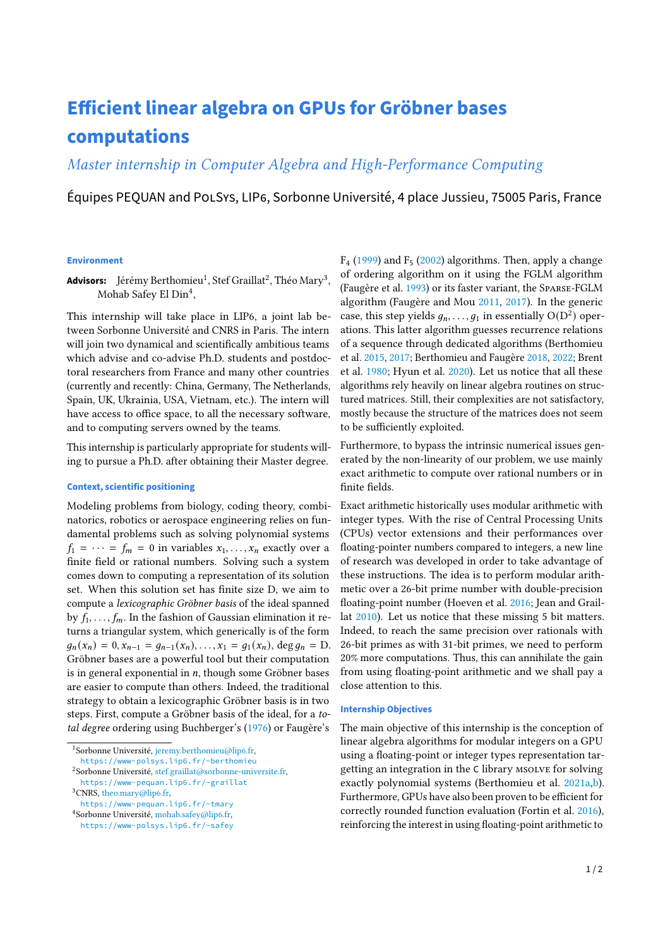# **Efficient linear algebra on GPUs for Gröbner bases computations**

# Master internship in Computer Algebra and High-Performance Computing

Équipes PEQUAN and POLSYS, LIP6, Sorbonne Université, 4 place Jussieu, 75005 Paris, France

#### **Environment**

**Advisors:** Jérémy Berthomieu<sup>[1](#page-0-0)</sup>, Stef Graillat<sup>[2](#page-0-1)</sup>, Théo Mary<sup>[3](#page-0-2)</sup>, Mohab Safey El Din<sup>[4](#page-0-3)</sup>,

This internship will take place in LIP6, a joint lab between Sorbonne Université and CNRS in Paris. The intern will join two dynamical and scientifically ambitious teams which advise and co-advise Ph.D. students and postdoctoral researchers from France and many other countries (currently and recently: China, Germany, The Netherlands, Spain, UK, Ukrainia, USA, Vietnam, etc.). The intern will have access to office space, to all the necessary software, and to computing servers owned by the teams.

This internship is particularly appropriate for students willing to pursue a Ph.D. after obtaining their Master degree.

# **Context, scientific positioning**

Modeling problems from biology, coding theory, combinatorics, robotics or aerospace engineering relies on fundamental problems such as solving polynomial systems  $f_1 = \cdots = f_m = 0$  in variables  $x_1, \ldots, x_n$  exactly over a finite field or rational numbers. Solving such a system comes down to computing a representation of its solution set. When this solution set has finite size D, we aim to compute a lexicographic Gröbner basis of the ideal spanned by  $f_1, \ldots, f_m$ . In the fashion of Gaussian elimination it returns a triangular system, which generically is of the form  $g_n(x_n) = 0, x_{n-1} = g_{n-1}(x_n), \ldots, x_1 = g_1(x_n), \deg g_n = D.$ Gröbner bases are a powerful tool but their computation is in general exponential in  $n$ , though some Gröbner bases are easier to compute than others. Indeed, the traditional strategy to obtain a lexicographic Gröbner basis is in two steps. First, compute a Gröbner basis of the ideal, for a total degree ordering using Buchberger's [\(1976\)](#page-1-0) or Faugère's

<span id="page-0-0"></span><sup>1</sup>Sorbonne Université, [jeremy.berthomieu@lip6.fr,](mailto:jeremy.berthomieu@lip6.fr) <https://www-polsys.lip6.fr/~berthomieu>

<https://www-pequan.lip6.fr/~tmary>

 $F_4$  [\(1999\)](#page-1-1) and  $F_5$  [\(2002\)](#page-1-2) algorithms. Then, apply a change of ordering algorithm on it using the FGLM algorithm (Faugère et al. [1993\)](#page-1-3) or its faster variant, the Sparse-FGLM algorithm (Faugère and Mou [2011,](#page-1-4) [2017\)](#page-1-5). In the generic case, this step yields  $g_n, \ldots, g_1$  in essentially  $O(D^2)$  operations. This latter algorithm guesses recurrence relations of a sequence through dedicated algorithms (Berthomieu et al. [2015,](#page-1-6) [2017;](#page-1-7) Berthomieu and Faugère [2018,](#page-1-8) [2022;](#page-1-9) Brent et al. [1980;](#page-1-10) Hyun et al. [2020\)](#page-1-11). Let us notice that all these algorithms rely heavily on linear algebra routines on structured matrices. Still, their complexities are not satisfactory, mostly because the structure of the matrices does not seem to be sufficiently exploited.

Furthermore, to bypass the intrinsic numerical issues generated by the non-linearity of our problem, we use mainly exact arithmetic to compute over rational numbers or in finite fields.

Exact arithmetic historically uses modular arithmetic with integer types. With the rise of Central Processing Units (CPUs) vector extensions and their performances over floating-pointer numbers compared to integers, a new line of research was developed in order to take advantage of these instructions. The idea is to perform modular arithmetic over a 26-bit prime number with double-precision floating-point number (Hoeven et al. [2016;](#page-1-12) Jean and Graillat [2010\)](#page-1-13). Let us notice that these missing 5 bit matters. Indeed, to reach the same precision over rationals with 26-bit primes as with 31-bit primes, we need to perform 20% more computations. Thus, this can annihilate the gain from using floating-point arithmetic and we shall pay a close attention to this.

## **Internship Objectives**

The main objective of this internship is the conception of linear algebra algorithms for modular integers on a GPU using a floating-point or integer types representation targetting an integration in the C library MSOLVE for solving exactly polynomial systems (Berthomieu et al. [2021a,](#page-1-14)[b\)](#page-1-15). Furthermore, GPUs have also been proven to be efficient for correctly rounded function evaluation (Fortin et al. [2016\)](#page-1-16), reinforcing the interest in using floating-point arithmetic to

<span id="page-0-1"></span><sup>2</sup>Sorbonne Université, [stef.graillat@sorbonne-universite.fr,](mailto:stef.graillat@sorbonne-universite.fr) <https://www-pequan.lip6.fr/~graillat>

<span id="page-0-2"></span><sup>3</sup>CNRS, [theo.mary@lip6.fr,](mailto:theo.mary@lip6.fr)

<span id="page-0-3"></span><sup>&</sup>lt;sup>4</sup>Sorbonne Université, [mohab.safey@lip6.fr,](mailto:mohab.safey@lip6.fr)

<https://www-polsys.lip6.fr/~safey>